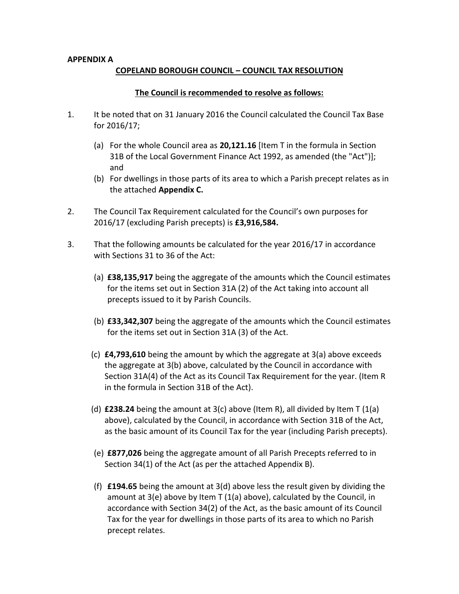## **APPENDIX A**

## **COPELAND BOROUGH COUNCIL – COUNCIL TAX RESOLUTION**

## **The Council is recommended to resolve as follows:**

- 1. It be noted that on 31 January 2016 the Council calculated the Council Tax Base for 2016/17;
	- (a) For the whole Council area as **20,121.16** [Item T in the formula in Section 31B of the Local Government Finance Act 1992, as amended (the "Act")]; and
	- (b) For dwellings in those parts of its area to which a Parish precept relates as in the attached **Appendix C.**
- 2. The Council Tax Requirement calculated for the Council's own purposes for 2016/17 (excluding Parish precepts) is **£3,916,584.**
- 3. That the following amounts be calculated for the year 2016/17 in accordance with Sections 31 to 36 of the Act:
	- (a) **£38,135,917** being the aggregate of the amounts which the Council estimates for the items set out in Section 31A (2) of the Act taking into account all precepts issued to it by Parish Councils.
	- (b) **£33,342,307** being the aggregate of the amounts which the Council estimates for the items set out in Section 31A (3) of the Act.
	- (c) **£4,793,610** being the amount by which the aggregate at 3(a) above exceeds the aggregate at 3(b) above, calculated by the Council in accordance with Section 31A(4) of the Act as its Council Tax Requirement for the year. (Item R in the formula in Section 31B of the Act).
	- (d) **£238.24** being the amount at  $3(c)$  above (Item R), all divided by Item T  $(1(a))$ above), calculated by the Council, in accordance with Section 31B of the Act, as the basic amount of its Council Tax for the year (including Parish precepts).
	- (e) **£877,026** being the aggregate amount of all Parish Precepts referred to in Section 34(1) of the Act (as per the attached Appendix B).
	- (f) **£194.65** being the amount at 3(d) above less the result given by dividing the amount at 3(e) above by Item T (1(a) above), calculated by the Council, in accordance with Section 34(2) of the Act, as the basic amount of its Council Tax for the year for dwellings in those parts of its area to which no Parish precept relates.